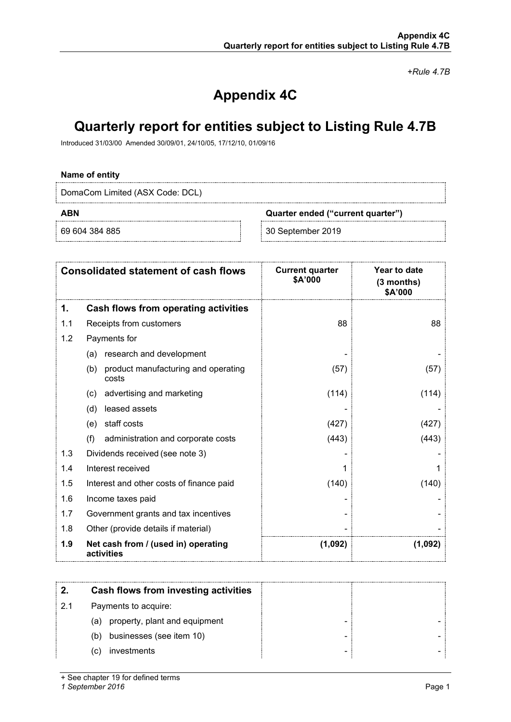*+Rule 4.7B*

# **Appendix 4C**

# **Quarterly report for entities subject to Listing Rule 4.7B**

Introduced 31/03/00 Amended 30/09/01, 24/10/05, 17/12/10, 01/09/16

## **Name of entity**

DomaCom Limited (ASX Code: DCL)

**ABN Quarter ended ("current quarter")**

69 604 384 885 30 September 2019

| <b>Consolidated statement of cash flows</b> |                                                     | <b>Current quarter</b><br>\$A'000 | Year to date<br>$(3$ months)<br>\$A'000 |  |
|---------------------------------------------|-----------------------------------------------------|-----------------------------------|-----------------------------------------|--|
| 1.                                          | Cash flows from operating activities                |                                   |                                         |  |
| 1.1                                         | Receipts from customers                             | 88                                | 88                                      |  |
| 1.2                                         | Payments for                                        |                                   |                                         |  |
|                                             | research and development<br>(a)                     |                                   |                                         |  |
|                                             | product manufacturing and operating<br>(b)<br>costs | (57)                              | (57)                                    |  |
|                                             | advertising and marketing<br>$\left( c\right)$      | (114)                             | (114)                                   |  |
|                                             | leased assets<br>(d)                                |                                   |                                         |  |
|                                             | staff costs<br>(e)                                  | (427)                             | (427)                                   |  |
|                                             | (f)<br>administration and corporate costs           | (443)                             | (443)                                   |  |
| 1.3                                         | Dividends received (see note 3)                     |                                   |                                         |  |
| 1.4                                         | Interest received                                   |                                   |                                         |  |
| 1.5                                         | Interest and other costs of finance paid            | (140)                             | (140)                                   |  |
| 1.6                                         | Income taxes paid                                   |                                   |                                         |  |
| 1.7                                         | Government grants and tax incentives                |                                   |                                         |  |
| 1.8                                         | Other (provide details if material)                 |                                   |                                         |  |
| 1.9                                         | Net cash from / (used in) operating<br>activities   | (1,092)                           | (1,092)                                 |  |

|     | Cash flows from investing activities |  |
|-----|--------------------------------------|--|
| 2.1 | Payments to acquire:                 |  |
|     | property, plant and equipment<br>(a) |  |
|     | businesses (see item 10)<br>(b)      |  |
|     | investments<br>C)                    |  |
|     |                                      |  |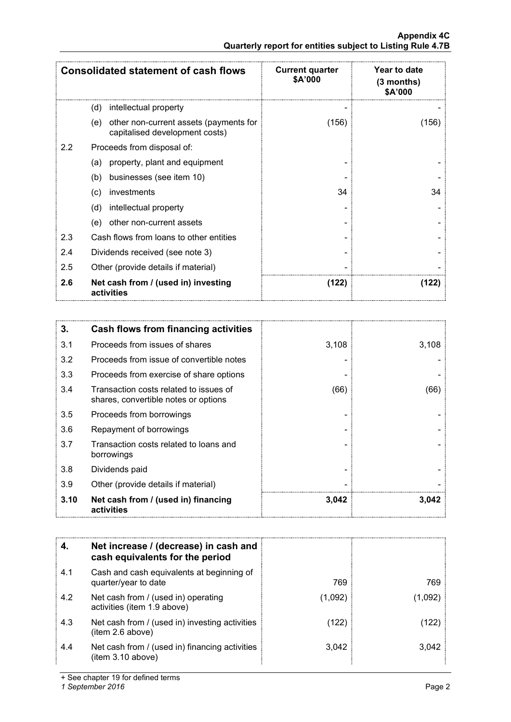|                  | <b>Consolidated statement of cash flows</b>                                     | <b>Current quarter</b><br>\$A'000 | Year to date<br>(3 months)<br>\$A'000 |
|------------------|---------------------------------------------------------------------------------|-----------------------------------|---------------------------------------|
|                  | (d)<br>intellectual property                                                    |                                   |                                       |
|                  | other non-current assets (payments for<br>(e)<br>capitalised development costs) | (156)                             | (156)                                 |
| $2.2\phantom{0}$ | Proceeds from disposal of:                                                      |                                   |                                       |
|                  | property, plant and equipment<br>(a)                                            |                                   |                                       |
|                  | businesses (see item 10)<br>(b)                                                 |                                   |                                       |
|                  | investments<br>(c)                                                              | 34                                | 34                                    |
|                  | (d)<br>intellectual property                                                    |                                   |                                       |
|                  | other non-current assets<br>(e)                                                 |                                   |                                       |
| 2.3              | Cash flows from loans to other entities                                         |                                   |                                       |
| 2.4              | Dividends received (see note 3)                                                 |                                   |                                       |
| 2.5              | Other (provide details if material)                                             |                                   |                                       |
| 2.6              | Net cash from / (used in) investing<br>activities                               | (122)                             | (122)                                 |

| 3.   | Cash flows from financing activities                                           |       |       |
|------|--------------------------------------------------------------------------------|-------|-------|
| 3.1  | Proceeds from issues of shares                                                 | 3,108 | 3,108 |
| 3.2  | Proceeds from issue of convertible notes                                       |       |       |
| 3.3  | Proceeds from exercise of share options                                        |       |       |
| 3.4  | Transaction costs related to issues of<br>shares, convertible notes or options | (66)  | (66)  |
| 3.5  | Proceeds from borrowings                                                       |       |       |
| 3.6  | Repayment of borrowings                                                        |       |       |
| 3.7  | Transaction costs related to loans and<br>borrowings                           |       |       |
| 3.8  | Dividends paid                                                                 |       |       |
| 3.9  | Other (provide details if material)                                            |       |       |
| 3.10 | Net cash from / (used in) financing<br>activities                              | 3,042 | 3,042 |

|     | Net increase / (decrease) in cash and<br>cash equivalents for the period |         |       |
|-----|--------------------------------------------------------------------------|---------|-------|
| 4.1 | Cash and cash equivalents at beginning of<br>quarter/year to date        | 769     | 769   |
| 4.2 | Net cash from / (used in) operating<br>activities (item 1.9 above)       | (1,092) | 1.092 |
| 4.3 | Net cash from / (used in) investing activities<br>item 2.6 above)        | (122    | 22    |
| 4.4 | Net cash from / (used in) financing activities<br>(item 3.10 above)      | 3.042   | 3.042 |

+ See chapter 19 for defined terms

*1 September 2016* Page 2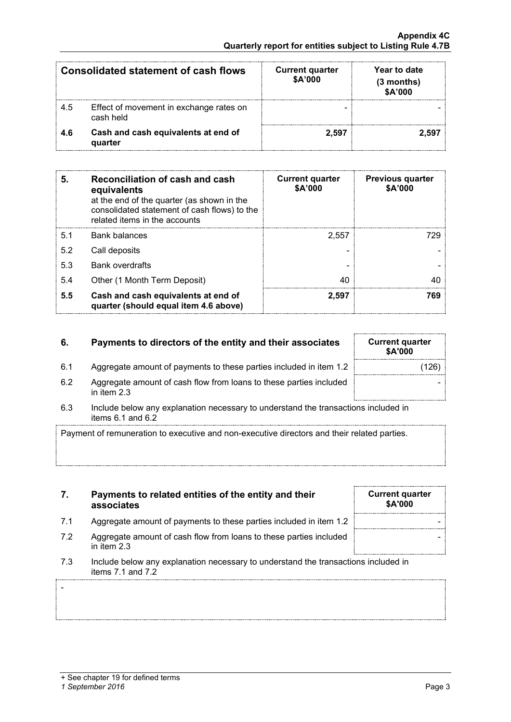-

| Consolidated statement of cash flows |                                                      | <b>Current quarter</b><br>\$A'000 | Year to date<br>$(3$ months)<br>\$A'000 |
|--------------------------------------|------------------------------------------------------|-----------------------------------|-----------------------------------------|
| 4.5                                  | Effect of movement in exchange rates on<br>cash held |                                   |                                         |
| 46                                   | Cash and cash equivalents at end of<br>quarter       | 2.597                             |                                         |

| 5.  | Reconciliation of cash and cash<br>equivalents<br>at the end of the quarter (as shown in the<br>consolidated statement of cash flows) to the<br>related items in the accounts | <b>Current quarter</b><br>\$A'000 | <b>Previous quarter</b><br>\$A'000 |
|-----|-------------------------------------------------------------------------------------------------------------------------------------------------------------------------------|-----------------------------------|------------------------------------|
| 5.1 | Bank balances                                                                                                                                                                 | 2.557                             | 72Q                                |
| 5.2 | Call deposits                                                                                                                                                                 |                                   |                                    |
| 5.3 | <b>Bank overdrafts</b>                                                                                                                                                        |                                   |                                    |
| 5.4 | Other (1 Month Term Deposit)                                                                                                                                                  | 40                                |                                    |
| 5.5 | Cash and cash equivalents at end of<br>quarter (should equal item 4.6 above)                                                                                                  | 2.597                             | 769                                |

# **6.** Payments to directors of the entity and their associates

- 6.1 Aggregate amount of payments to these parties included in item 1.2
- 6.2 Aggregate amount of cash flow from loans to these parties included in item 2.3
- 6.3 Include below any explanation necessary to understand the transactions included in items 6.1 and 6.2

Payment of remuneration to executive and non-executive directors and their related parties.

- **7. Payments to related entities of the entity and their associates**
- 7.1 Aggregate amount of payments to these parties included in item 1.2
- 7.2 Aggregate amount of cash flow from loans to these parties included in item 2.3
- 7.3 Include below any explanation necessary to understand the transactions included in items 7.1 and 7.2

| <b>Current quarter</b><br>\$A'000 |  |
|-----------------------------------|--|
|                                   |  |
|                                   |  |
|                                   |  |

| <b>Current quarter</b><br>\$A'000 |  |
|-----------------------------------|--|
| (126)                             |  |
|                                   |  |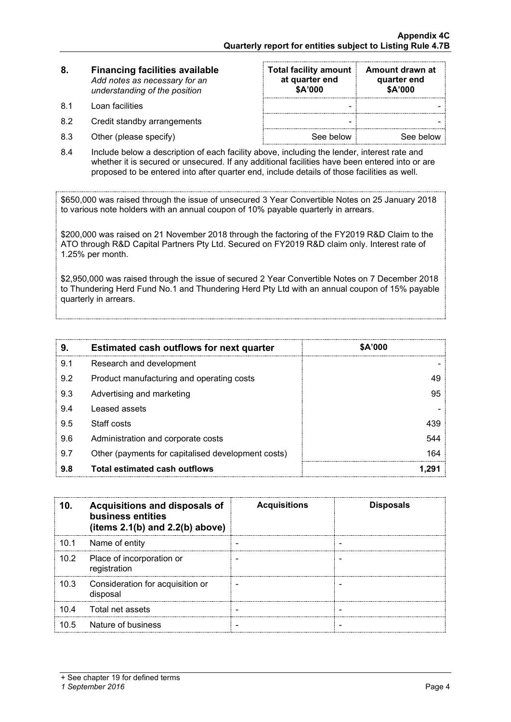| 8. | <b>Financing facilities available</b> |
|----|---------------------------------------|
|    | Add notes as necessary for an         |
|    | understanding of the position         |

- 8.1 Loan facilities
- 8.2 Credit standby arrangements
- $8.3$  Other (please specify)

| <b>Total facility amount</b><br>at quarter end<br>\$A'000 | Amount drawn at<br>quarter end<br>\$A'000 |
|-----------------------------------------------------------|-------------------------------------------|
|                                                           |                                           |
|                                                           |                                           |
| See below                                                 | See below                                 |

8.4 Include below a description of each facility above, including the lender, interest rate and whether it is secured or unsecured. If any additional facilities have been entered into or are proposed to be entered into after quarter end, include details of those facilities as well.

\$650,000 was raised through the issue of unsecured 3 Year Convertible Notes on 25 January 2018 to various note holders with an annual coupon of 10% payable quarterly in arrears.

\$200,000 was raised on 21 November 2018 through the factoring of the FY2019 R&D Claim to the ATO through R&D Capital Partners Pty Ltd. Secured on FY2019 R&D claim only. Interest rate of 1.25% per month.

\$2,950,000 was raised through the issue of secured 2 Year Convertible Notes on 7 December 2018 to Thundering Herd Fund No.1 and Thundering Herd Pty Ltd with an annual coupon of 15% payable quarterly in arrears.

| 9.  | <b>Estimated cash outflows for next quarter</b>    | \$A'000 |
|-----|----------------------------------------------------|---------|
| 9.1 | Research and development                           |         |
| 9.2 | Product manufacturing and operating costs          | 49      |
| 9.3 | Advertising and marketing                          | 95      |
| 9.4 | Leased assets                                      |         |
| 9.5 | Staff costs                                        | 439     |
| 9.6 | Administration and corporate costs                 | 544     |
| 9.7 | Other (payments for capitalised development costs) | 164     |
| 9.8 | <b>Total estimated cash outflows</b>               |         |

| 10.  | Acquisitions and disposals of<br>business entities<br>(items $2.1(b)$ and $2.2(b)$ above) | <b>Acquisitions</b> | <b>Disposals</b> |
|------|-------------------------------------------------------------------------------------------|---------------------|------------------|
| 10.1 | Name of entity                                                                            |                     |                  |
| 10.2 | Place of incorporation or<br>registration                                                 |                     |                  |
| 10.3 | Consideration for acquisition or<br>disposal                                              |                     |                  |
| 10.4 | Total net assets                                                                          |                     |                  |
| 10.5 | Nature of business                                                                        |                     |                  |